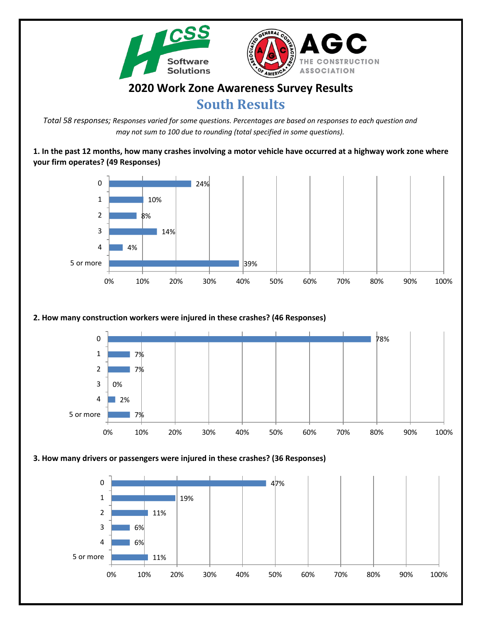

# **2020 Work Zone Awareness Survey Results**

# **South Results**

*Total 58 responses; Responses varied for some questions. Percentages are based on responses to each question and may not sum to 100 due to rounding (total specified in some questions).*

**1. In the past 12 months, how many crashes involving a motor vehicle have occurred at a highway work zone where your firm operates? (49 Responses)**



## **2. How many construction workers were injured in these crashes? (46 Responses)**



#### **3. How many drivers or passengers were injured in these crashes? (36 Responses)**

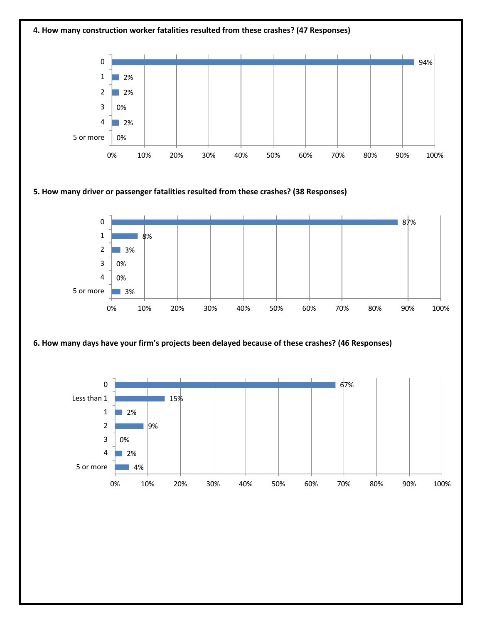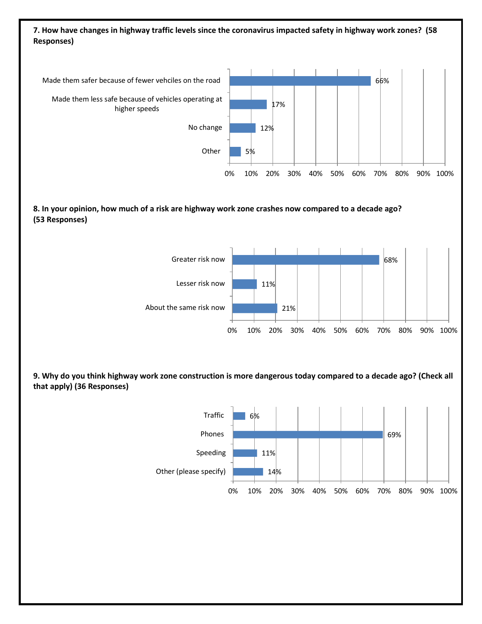### **7. How have changes in highway traffic levels since the coronavirus impacted safety in highway work zones? (58 Responses)**



#### **8. In your opinion, how much of a risk are highway work zone crashes now compared to a decade ago? (53 Responses)**



**9. Why do you think highway work zone construction is more dangerous today compared to a decade ago? (Check all that apply) (36 Responses)**

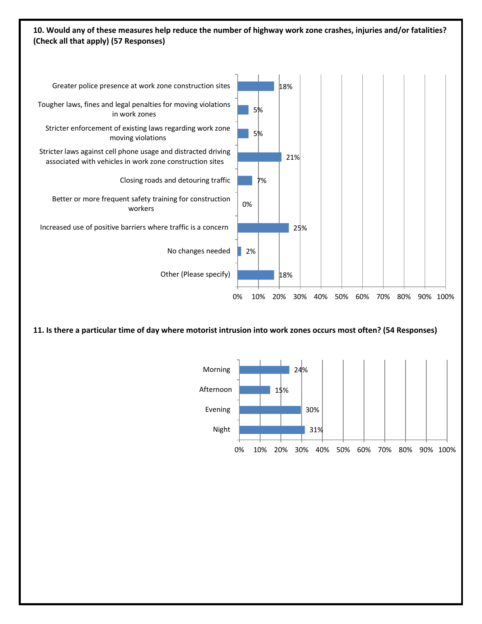#### **10. Would any of these measures help reduce the number of highway work zone crashes, injuries and/or fatalities? (Check all that apply) (57 Responses)**



**11. Is there a particular time of day where motorist intrusion into work zones occurs most often? (54 Responses)**